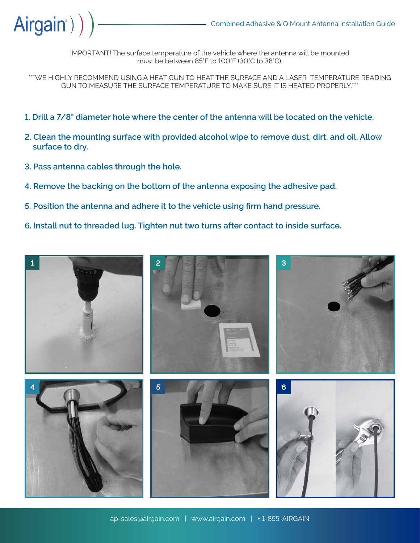

IMPORTANT! The surface temperature of the vehicle where the antenna will be mounted must be between 85°F to 100°F (30°C to 38°C).

\*\*\*WE HIGHLY RECOMMEND USING A HEAT GUN TO HEAT THE SURFACE AND A LASER TEMPERATURE READING GUN TO MEASURE THE SURFACE TEMPERATURE TO MAKE SURE IT IS HEATED PROPERLY.\*\*\*

- **1. Drill a 7/8" diameter hole where the center of the antenna will be located on the vehicle.**
- **2. Clean the mounting surface with provided alcohol wipe to remove dust, dirt, and oil. Allow surface to dry.**
- **3. Pass antenna cables through the hole.**
- **4. Remove the backing on the bottom of the antenna exposing the adhesive pad.**
- **5. Position the antenna and adhere it to the vehicle using firm hand pressure.**
- **6. Install nut to threaded lug. Tighten nut two turns after contact to inside surface.**